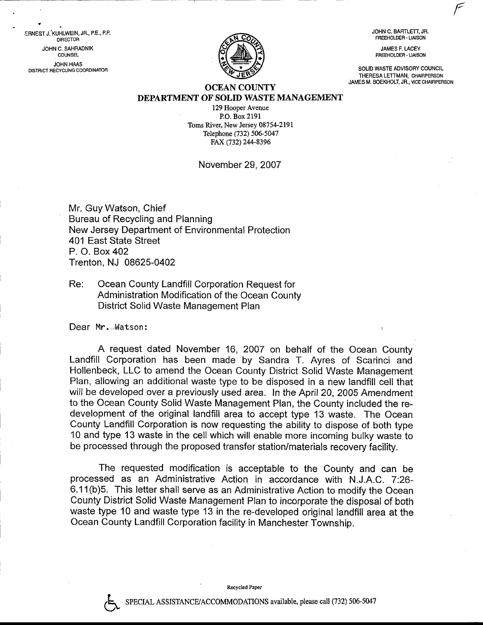JOHN C. BARTLETT, JR. FREEHOLDER. LIAISON

JAMES F. LACEY FREEHOLDER - LIAISON

SOLID WASTE ADVISORY COUNCIL THERESA LETTMAN, CHAIRPERSON JAMES M. BOEKHOLT, JR., VICE CHAIRPERSON



### OCEAN COUNTY DEPARTMENT OF SOLID WASTE MANAGEMENT

129 Hooper Avenue P.O. Box 2191 Toms River, New Jersey 08754-2191 Telephone (732) 506-5047 FAX (732) 244-8396

### November 29.2007

Mr. Guy Watson, Chief Bureau of Recycling and Planning New Jersey Department of Environmental Protection 401 East State Street P. O. Box 402 Trenton, NJ 08625-0402

## Re: Ocean County Landfill Corporation Request for Administration Modification of the Ocean County District Solid Waste Management Plan

Dear Mr...Watson:

?

t.

ERNE\$T J.'KUHLWEIN, JR., P.E., P.P. **DIRECTOR** JOHN C. SAHRADNIK **COUNSEL** JOHN HAAS DISTRICT RECYCLING COORDINATOR

> A request dated November 16, 2007 on behalf of the Ocean County Landfill Corporation has been made by Sandra T. Ayres of Scarinci and Hollenbeck, LLC to amend the Ocean County District Solid Waste Management Plan, allowing an additional waste type to be disposed in a new landfill cell that will be developed over a previously used area. In the April 20, 2005 Amendment to the Ocean County Solid Waste Management Plan, the County included the redevelopment of the original landfill area to accept type 13 waste. The Ocean County Landfill Corporation is now requesting the ability to dispose of both type 10 and type 13 waste in the cell which will enable more incoming bulky waste to be processed through the proposed transfer station/materials recovery facility.

> The requested modification is acceptable to the County and can be processed as an Administrative Action in accordance with N.J.A.C. 7:26- 6.1 1(b)5. This letter shall serve as an Administrative Action to modify the Ocean County District Solid Waste Management Plan to incorporate the disposal of both waste type 10 and waste type 13 in the re-developed original landfiil area at the Ocean County Landfill Corporation facility in Manchester Township.

> > Recycled Paper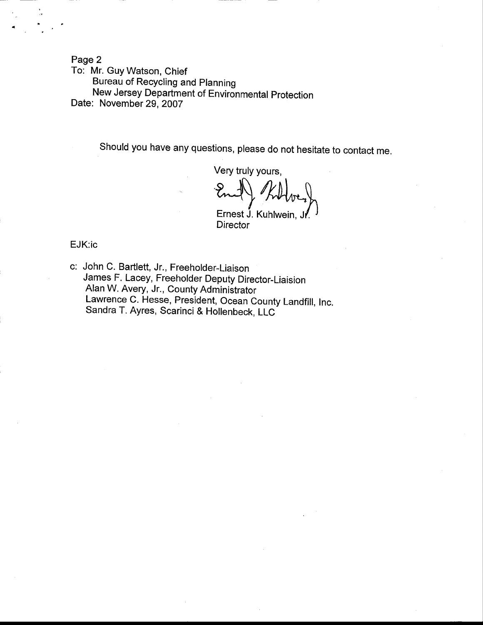Page 2

To: Mr. Guy Watson, Chief Bureau of Recycling and planning New Jersey Department of Environmental Protection Date: November 29, 2007

Should you have any questions, please do not hesitate to contact me.

Very truly yours,  $\mathbb{R} \cup \mathbb{R}$  theory mal) Killver Ernest J. Kuhlwein,<br>Director

EJK:ic

c: John C. Bartlett, Jr., Freeholder-Liaison James F. Lacey, Freeholder Deputy Director\_Liaision Alan W. Avery, Jr., County Administrator Lawrence c. Hesse, president, ocean county Landfill, Inc. Sandra T. Ayres, Scarinci & Hollenbeck, LLC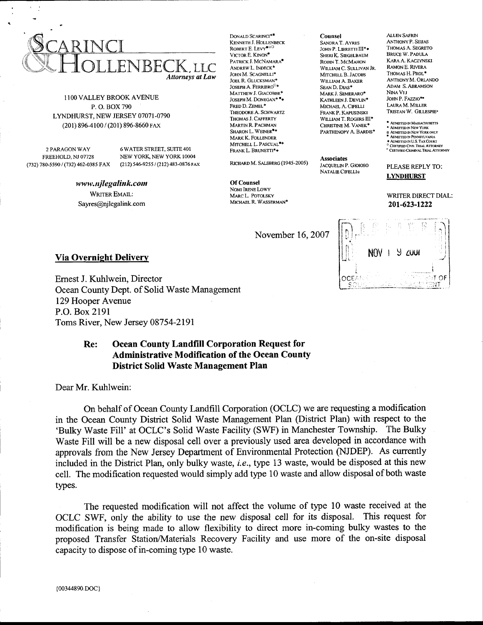

1100 VALLEY BROOK AVENUE P.O. BOX 790 LYNDHURST, NEW JERSEY 07071-0790 (201) 896-4100 / (201) 896-8660 FAX

2 PARAGON WAY FREEHOLD, NJ 07728

**6 WATER STREET, SUITE 401** NEW YORK, NEW YORK 10004 (732) 780-5590 / (732) 462-0385 FAX (212) 546-9255 / (212) 483-0876 FAX

> www.njlegalink.com **WRITER EMAIL:** Sayres@njlegalink.com

DONALD SCARINCI\* KENNETH J. HOLLENBECK ROBERT E. LEVY<sup>OU</sup> VICTOR E. KINON<sup>®</sup> PATRICK J. MCNAMARA<sup>®</sup> ANDREW L. INDECK\* JOHN M. SCAGNELLI\* JOEL R. GLUCKSMAN\* JOSEPH A. FERRIERO<sup> $\Box$ \*</sup> MATTHEW J. GIACOBBE\*  $\operatorname{Joseph} M.$  DONEGAN\*  $\blacksquare\bullet$ FRED D. ZEMEL\* THEODORE A. SCHWARTZ THOMAS J. CAFFERTY MARTIN R. PACHMAN SHARON L. WEINER<sup>#\*</sup> MARK K. FOLLENDER MITCHELL L. PASCUAL<sup>12</sup>\* FRANK L. BRUNETTI\*\*

RICHARD M. SALSBERG (1945-2005)

**Of Counsel** NOMI IRENE LOWY MARC L. POTOLSKY MICHAEL R. WASSERMAN\*

November 16, 2007

**NOV**  $9 - 2001$  $TOF$ OCE/

**ALLEN SAFRIN** 

**ANTHONY P. SEUAS** 

**BRUCE W. PADULA** 

RAMON E. RIVERA

THOMAS H. PROL<sup>\*</sup>

JOHN P. FAZZIO\*\*

LAURA M. MILLER

TRISTAN W GILLESPIES

● ADMITTED IN MASSACHUSETTS<br>← ADMITTED IN NEW YORK<br>Ω ADMITTED IN NEW YORK ONLY<br>■ ADMITTED IN PENNSYLVANIA

**ADMITTED IN U.S. TAX COURT** 

PLEASE REPLY TO:

**LYNDHURST** 

201-623-1222

**CERTIFIED IN C.S. FAR COOKEY**<br>CERTIFIED CIVIL TRIAL ATTORNEY<br>CERTIFIED CRIMINAL TRIAL ATTORNEY

WRITER DIRECT DIAL:

NINA VIJ

THOMAS A. SEGRETO

KARA A. KACZYNSKI

ANTHONY M. ORLANDO

**ADAM S. ABRAMSON** 

Counsel

**SANDRA T. AYRES** 

JOHN P. LIBRETTI III\*

**SHERI K. SIEGELBAUM** 

ROBIN T. MCMAHON

MITCHELL B. JACOBS

WILLIAM A. BAKER

MARK J. SEMERARO\*

MICHAEL A. CIFELLI

FRANK P. KAPUSINSKI

WILLIAM T. ROGERS III\*

PARTHENOPY A. BARDIS\*

CHRISTINE M. VANEK\*

**JACQUELIN P. GIOIOSO** 

NATALIE CIFELLIO

KATHLEEN J. DEVLIN\*

SEAN D. DIAS\*

**Associates** 

WILLIAM C. SULLIVAN JR.

#### **Via Overnight Delivery**

Ernest J. Kuhlwein, Director Ocean County Dept. of Solid Waste Management 129 Hooper Avenue P.O. Box 2191 Toms River, New Jersey 08754-2191

#### **Ocean County Landfill Corporation Request for** Re: **Administrative Modification of the Ocean County District Solid Waste Management Plan**

Dear Mr. Kuhlwein:

On behalf of Ocean County Landfill Corporation (OCLC) we are requesting a modification in the Ocean County District Solid Waste Management Plan (District Plan) with respect to the 'Bulky Waste Fill' at OCLC's Solid Waste Facility (SWF) in Manchester Township. The Bulky Waste Fill will be a new disposal cell over a previously used area developed in accordance with approvals from the New Jersey Department of Environmental Protection (NJDEP). As currently included in the District Plan, only bulky waste, i.e., type 13 waste, would be disposed at this new cell. The modification requested would simply add type 10 waste and allow disposal of both waste types.

The requested modification will not affect the volume of type 10 waste received at the OCLC SWF, only the ability to use the new disposal cell for its disposal. This request for modification is being made to allow flexibility to direct more in-coming bulky wastes to the proposed Transfer Station/Materials Recovery Facility and use more of the on-site disposal capacity to dispose of in-coming type 10 waste.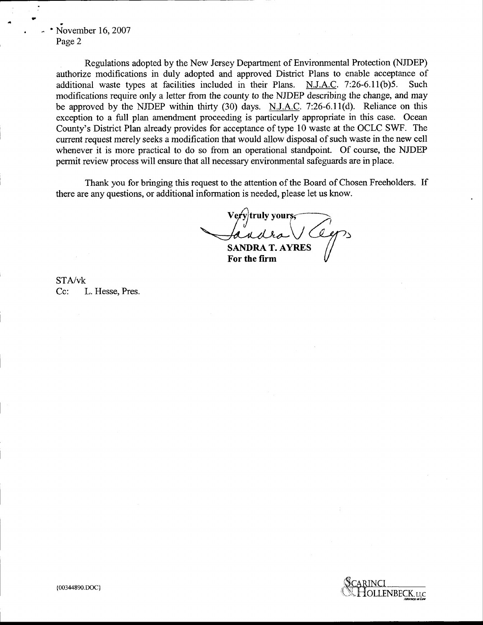# November 16, 2007 Page 2

Regulations adopted by the New Jersey Department of Environmental Protection (NJDEP) authorize modifications in duly adopted and approved District Plans to enable acceptance of additional waste types at facilities included in their Plans. N.J.A.C. 7:26-6.11(b)5. Such modifications require only a letter from the county to the NJDEP describing the change, and may be approved by the NJDEP within thirty (30) days. N.J.A.C. 7:26-6.11(d). Reliance on this exception to a fulI plan amendment proceeding is particularly appropriate in this case. Ocean County's District Plan already provides for acceptance of type 10 waste at the OCLC SWF. The current request merely seeks a modification that would allow disposal of such waste in the new cell whenever it is more practical to do so from an operational standpoint. Of course, the NJDEP permit review process will ensure that all necessary environmental safeguards are in place.

Thank you for bringing this request to the attention of the Board of Chosen Freeholders. If there are any questions, or additional information is needed, please let us know.

SANDRA T. AYRES y|truly yours, $\overline{\phantom{a}}$ -----  $y$ truly yours,  $\overline{\phantom{0}}$ 

For the firm

STA/vk Cc: L. Hesse, Pres.

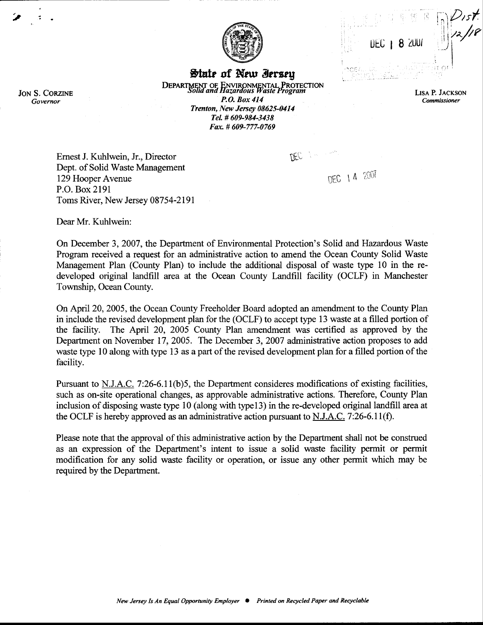|  | <b>DEC</b>   8 200 |  |                      |
|--|--------------------|--|----------------------|
|  |                    |  | and the state of the |

/157.<br>12/18

**LISA P. JACKSON** 

Commissioner



State of New Ierseu **ENVIRONMENTAL PROTECTION**<br>Hazardous Waste Program **DEPARTMENT OF**<br>Solid and P.O. Box 414 Trenton, New Jersey 08625-0414 Tel. # 609-984-3438 Fax. #609-777-0769

Ernest J. Kuhlwein, Jr., Director Dept. of Solid Waste Management 129 Hooper Avenue P.O. Box 2191 Toms River, New Jersey 08754-2191

DEC 14 2007

DEC :

Dear Mr. Kuhlwein:

On December 3, 2007, the Department of Environmental Protection's Solid and Hazardous Waste Program received a request for an administrative action to amend the Ocean County Solid Waste Management Plan (County Plan) to include the additional disposal of waste type 10 in the redeveloped original landfill area at the Ocean County Landfill facility (OCLF) in Manchester Township, Ocean County.

On April 20, 2005, the Ocean County Freeholder Board adopted an amendment to the County Plan in include the revised development plan for the (OCLF) to accept type 13 waste at a filled portion of the facility. The April 20, 2005 County Plan amendment was certified as approved by the Department on November 17, 2005. The December 3, 2007 administrative action proposes to add waste type 10 along with type 13 as a part of the revised development plan for a filled portion of the facility.

Pursuant to N.J.A.C. 7:26-6.11(b)5, the Department consideres modifications of existing facilities, such as on-site operational changes, as approvable administrative actions. Therefore, County Plan inclusion of disposing waste type 10 (along with type13) in the re-developed original landfill area at the OCLF is hereby approved as an administrative action pursuant to N.J.A.C. 7:26-6.11(f).

Please note that the approval of this administrative action by the Department shall not be construed as an expression of the Department's intent to issue a solid waste facility permit or permit modification for any solid waste facility or operation, or issue any other permit which may be required by the Department.

**JON S. CORZINE** Governor